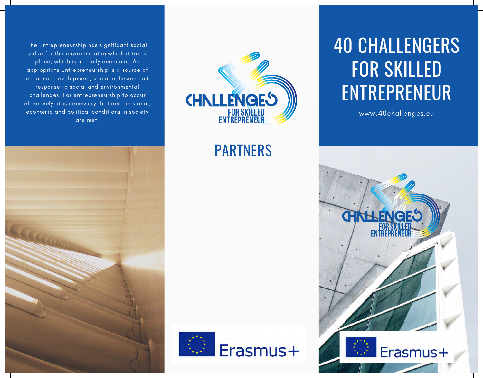The Entrepreneurship has significant social value for the environment in which it takes place, which is not only economic. An appropriate Entrepreneurship is a source of economic development, social cohesion and response to social and environmental challenges. For entrepreneurship to occur effectively, it is necessary that certain social, economic and political conditions in society are met.



### PARTNERS

Erasmus+



www.40challenges.eu